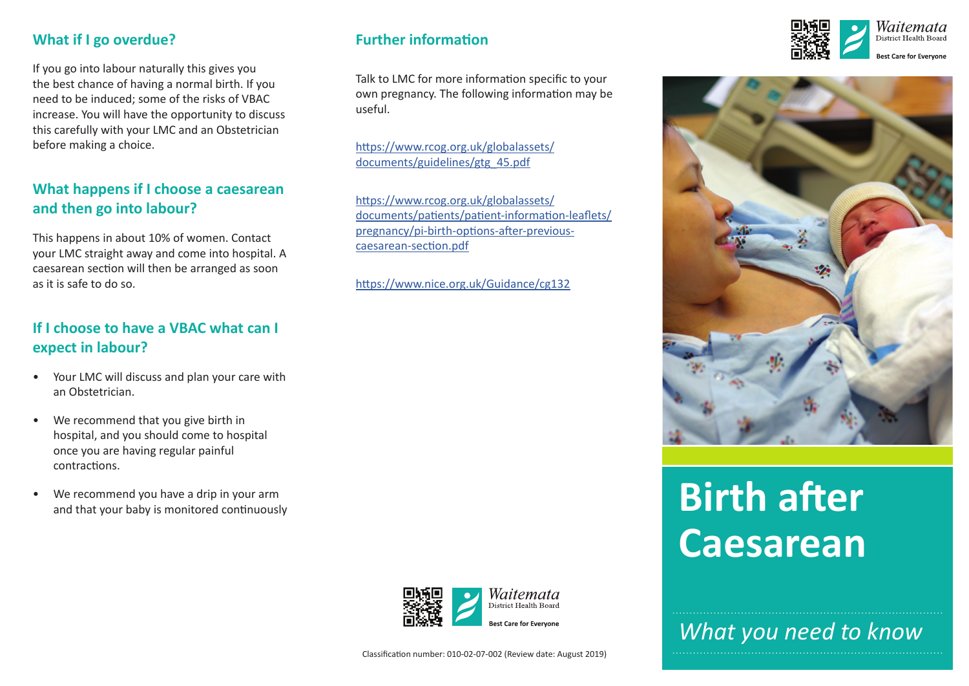#### **What if I go overdue?**

If you go into labour naturally this gives you the best chance of having a normal birth. If you need to be induced; some of the risks of VBAC increase. You will have the opportunity to discuss this carefully with your LMC and an Obstetrician before making a choice.

## **What happens if I choose a caesarean and then go into labour?**

This happens in about 10% of women. Contact your LMC straight away and come into hospital. A caesarean section will then be arranged as soon as it is safe to do so.

#### **If I choose to have a VBAC what can I expect in labour?**

- Your LMC will discuss and plan your care with an Obstetrician.
- We recommend that you give birth in hospital, and you should come to hospital once you are having regular painful contractions.
- We recommend you have a drip in your arm and that your baby is monitored continuously

#### **Further information**

Talk to LMC for more information specific to your own pregnancy. The following information may be useful.

[https://www.rcog.org.uk/globalassets/](https://www.rcog.org.uk/globalassets/documents/guidelines/gtg_45.pdf) [documents/guidelines/gtg\\_45.pdf](https://www.rcog.org.uk/globalassets/documents/guidelines/gtg_45.pdf)

[https://www.rcog.org.uk/globalassets/](https://www.rcog.org.uk/globalassets/documents/patients/patient-information-leaflets/pregnancy/pi-birth-options-after-previous-caesarean-section.pdf) [documents/patients/patient-information-leaflets/](https://www.rcog.org.uk/globalassets/documents/patients/patient-information-leaflets/pregnancy/pi-birth-options-after-previous-caesarean-section.pdf) [pregnancy/pi-birth-options-after-previous](https://www.rcog.org.uk/globalassets/documents/patients/patient-information-leaflets/pregnancy/pi-birth-options-after-previous-caesarean-section.pdf)[caesarean-section.pdf](https://www.rcog.org.uk/globalassets/documents/patients/patient-information-leaflets/pregnancy/pi-birth-options-after-previous-caesarean-section.pdf)

<https://www.nice.org.uk/Guidance/cg132>







# **Birth after Caesarean**

*What you need to know*